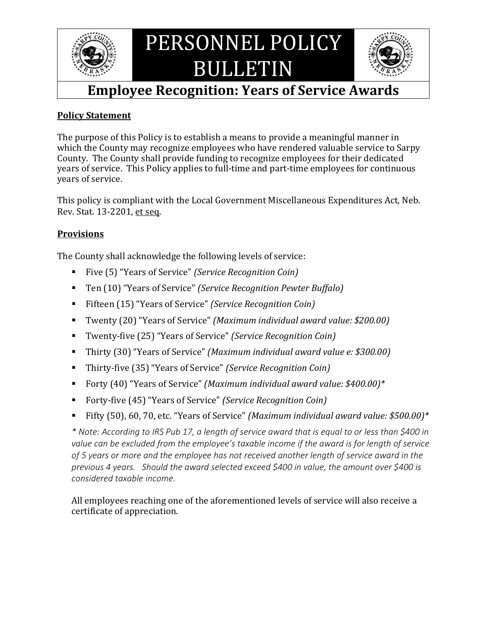

# PERSONNEL POLICY BULLETIN



## **Employee Recognition: Years of Service Awards**

#### **Policy Statement**

The purpose of this Policy is to establish a means to provide a meaningful manner in which the County may recognize employees who have rendered valuable service to Sarpy County. The County shall provide funding to recognize employees for their dedicated years of service. This Policy applies to full-time and part-time employees for continuous years of service.

This policy is compliant with the Local Government Miscellaneous Expenditures Act, Neb. Rev. Stat. 13-2201, et seq.

#### **Provisions**

The County shall acknowledge the following levels of service:

- Five (5) "Years of Service" *(Service Recognition Coin)*
- Ten (10) "Years of Service" *(Service Recognition Pewter Buffalo)*
- Fifteen (15) "Years of Service" *(Service Recognition Coin)*
- Twenty (20) "Years of Service" *(Maximum individual award value: \$200.00)*
- Twenty-five (25) "Years of Service" *(Service Recognition Coin)*
- Thirty (30) "Years of Service" *(Maximum individual award value e: \$300.00)*
- Thirty-five (35) "Years of Service" *(Service Recognition Coin)*
- Forty (40) "Years of Service" *(Maximum individual award value: \$400.00)\**
- Forty-five (45) "Years of Service" *(Service Recognition Coin)*
- Fifty (50), 60, 70, etc. "Years of Service" *(Maximum individual award value: \$500.00)\**

*\* Note: According to IRS Pub 17, a length of service award that is equal to or less than \$400 in value can be excluded from the employee's taxable income if the award is for length of service of 5 years or more and the employee has not received another length of service award in the previous 4 years. Should the award selected exceed \$400 in value, the amount over \$400 is considered taxable income.*

All employees reaching one of the aforementioned levels of service will also receive a certificate of appreciation.